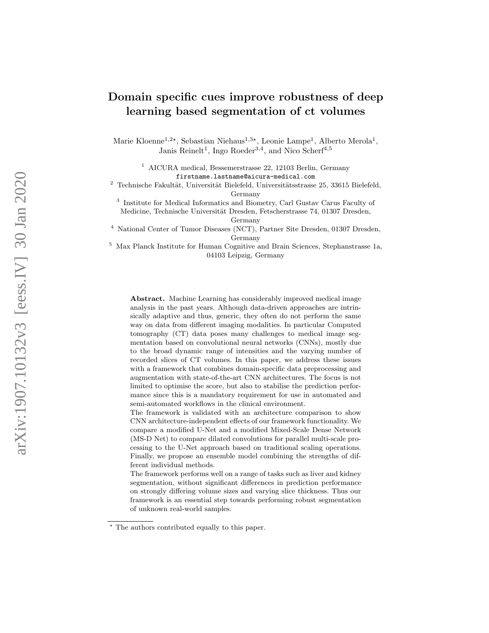# Domain specific cues improve robustness of deep learning based segmentation of ct volumes

Marie Kloenne<sup>1,2\*</sup>, Sebastian Niehaus<sup>1,3\*</sup>, Leonie Lampe<sup>1</sup>, Alberto Merola<sup>1</sup>, Janis Reinelt<sup>1</sup>, Ingo Roeder<sup>3,4</sup>, and Nico Scherf<sup>4,5</sup>

> <sup>1</sup> AICURA medical, Bessemerstrasse 22, 12103 Berlin, Germany firstname.lastname@aicura-medical.com

 $^2$  Technische Fakultät, Universität Bielefeld, Universitätsstrasse 25, 33615 Bielefeld, Germany

<sup>3</sup> Institute for Medical Informatics and Biometry, Carl Gustav Carus Faculty of Medicine, Technische Universität Dresden, Fetscherstrasse 74, 01307 Dresden, Germany

<sup>4</sup> National Center of Tumor Diseases (NCT), Partner Site Dresden, 01307 Dresden, Germany

<sup>5</sup> Max Planck Institute for Human Cognitive and Brain Sciences, Stephanstrasse 1a, 04103 Leipzig, Germany

Abstract. Machine Learning has considerably improved medical image analysis in the past years. Although data-driven approaches are intrinsically adaptive and thus, generic, they often do not perform the same way on data from different imaging modalities. In particular Computed tomography (CT) data poses many challenges to medical image segmentation based on convolutional neural networks (CNNs), mostly due to the broad dynamic range of intensities and the varying number of recorded slices of CT volumes. In this paper, we address these issues with a framework that combines domain-specific data preprocessing and augmentation with state-of-the-art CNN architectures. The focus is not limited to optimise the score, but also to stabilise the prediction performance since this is a mandatory requirement for use in automated and semi-automated workflows in the clinical environment.

The framework is validated with an architecture comparison to show CNN architecture-independent effects of our framework functionality. We compare a modified U-Net and a modified Mixed-Scale Dense Network (MS-D Net) to compare dilated convolutions for parallel multi-scale processing to the U-Net approach based on traditional scaling operations. Finally, we propose an ensemble model combining the strengths of different individual methods.

The framework performs well on a range of tasks such as liver and kidney segmentation, without significant differences in prediction performance on strongly differing volume sizes and varying slice thickness. Thus our framework is an essential step towards performing robust segmentation of unknown real-world samples.

<sup>?</sup> The authors contributed equally to this paper.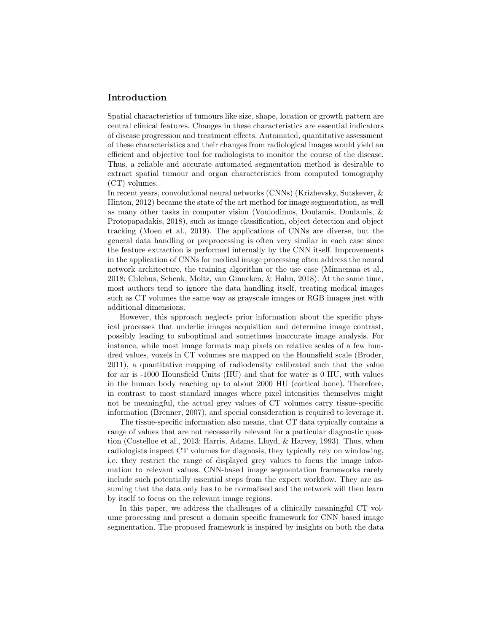# Introduction

Spatial characteristics of tumours like size, shape, location or growth pattern are central clinical features. Changes in these characteristics are essential indicators of disease progression and treatment effects. Automated, quantitative assessment of these characteristics and their changes from radiological images would yield an efficient and objective tool for radiologists to monitor the course of the disease. Thus, a reliable and accurate automated segmentation method is desirable to extract spatial tumour and organ characteristics from computed tomography (CT) volumes.

In recent years, convolutional neural networks (CNNs) (Krizhevsky, Sutskever, & Hinton, 2012) became the state of the art method for image segmentation, as well as many other tasks in computer vision (Voulodimos, Doulamis, Doulamis, & Protopapadakis, 2018), such as image classification, object detection and object tracking (Moen et al., 2019). The applications of CNNs are diverse, but the general data handling or preprocessing is often very similar in each case since the feature extraction is performed internally by the CNN itself. Improvements in the application of CNNs for medical image processing often address the neural network architecture, the training algorithm or the use case (Minnemaa et al., 2018; Chlebus, Schenk, Moltz, van Ginneken, & Hahn, 2018). At the same time, most authors tend to ignore the data handling itself, treating medical images such as CT volumes the same way as grayscale images or RGB images just with additional dimensions.

However, this approach neglects prior information about the specific physical processes that underlie images acquisition and determine image contrast, possibly leading to suboptimal and sometimes inaccurate image analysis. For instance, while most image formats map pixels on relative scales of a few hundred values, voxels in CT volumes are mapped on the Hounsfield scale (Broder, 2011), a quantitative mapping of radiodensity calibrated such that the value for air is -1000 Hounsfield Units (HU) and that for water is 0 HU, with values in the human body reaching up to about 2000 HU (cortical bone). Therefore, in contrast to most standard images where pixel intensities themselves might not be meaningful, the actual grey values of CT volumes carry tissue-specific information (Brenner, 2007), and special consideration is required to leverage it.

The tissue-specific information also means, that CT data typically contains a range of values that are not necessarily relevant for a particular diagnostic question (Costelloe et al., 2013; Harris, Adams, Lloyd, & Harvey, 1993). Thus, when radiologists inspect CT volumes for diagnosis, they typically rely on windowing, i.e. they restrict the range of displayed grey values to focus the image information to relevant values. CNN-based image segmentation frameworks rarely include such potentially essential steps from the expert workflow. They are assuming that the data only has to be normalised and the network will then learn by itself to focus on the relevant image regions.

In this paper, we address the challenges of a clinically meaningful CT volume processing and present a domain specific framework for CNN based image segmentation. The proposed framework is inspired by insights on both the data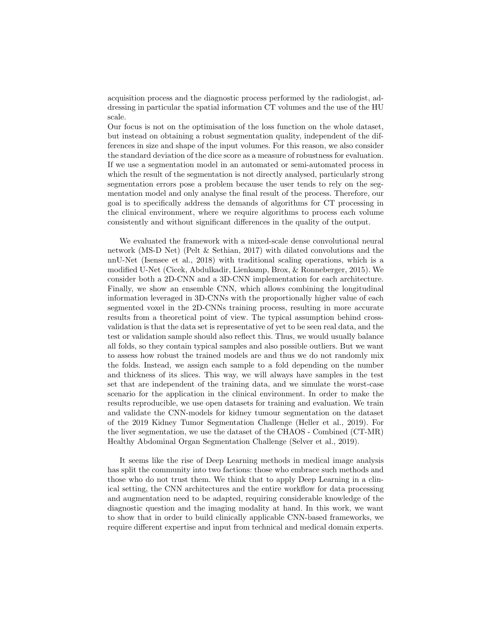acquisition process and the diagnostic process performed by the radiologist, addressing in particular the spatial information CT volumes and the use of the HU scale.

Our focus is not on the optimisation of the loss function on the whole dataset, but instead on obtaining a robust segmentation quality, independent of the differences in size and shape of the input volumes. For this reason, we also consider the standard deviation of the dice score as a measure of robustness for evaluation. If we use a segmentation model in an automated or semi-automated process in which the result of the segmentation is not directly analysed, particularly strong segmentation errors pose a problem because the user tends to rely on the segmentation model and only analyse the final result of the process. Therefore, our goal is to specifically address the demands of algorithms for CT processing in the clinical environment, where we require algorithms to process each volume consistently and without significant differences in the quality of the output.

We evaluated the framework with a mixed-scale dense convolutional neural network (MS-D Net) (Pelt & Sethian, 2017) with dilated convolutions and the nnU-Net (Isensee et al., 2018) with traditional scaling operations, which is a modified U-Net (Cicek, Abdulkadir, Lienkamp, Brox, & Ronneberger, 2015). We consider both a 2D-CNN and a 3D-CNN implementation for each architecture. Finally, we show an ensemble CNN, which allows combining the longitudinal information leveraged in 3D-CNNs with the proportionally higher value of each segmented voxel in the 2D-CNNs training process, resulting in more accurate results from a theoretical point of view. The typical assumption behind crossvalidation is that the data set is representative of yet to be seen real data, and the test or validation sample should also reflect this. Thus, we would usually balance all folds, so they contain typical samples and also possible outliers. But we want to assess how robust the trained models are and thus we do not randomly mix the folds. Instead, we assign each sample to a fold depending on the number and thickness of its slices. This way, we will always have samples in the test set that are independent of the training data, and we simulate the worst-case scenario for the application in the clinical environment. In order to make the results reproducible, we use open datasets for training and evaluation. We train and validate the CNN-models for kidney tumour segmentation on the dataset of the 2019 Kidney Tumor Segmentation Challenge (Heller et al., 2019). For the liver segmentation, we use the dataset of the CHAOS - Combined (CT-MR) Healthy Abdominal Organ Segmentation Challenge (Selver et al., 2019).

It seems like the rise of Deep Learning methods in medical image analysis has split the community into two factions: those who embrace such methods and those who do not trust them. We think that to apply Deep Learning in a clinical setting, the CNN architectures and the entire workflow for data processing and augmentation need to be adapted, requiring considerable knowledge of the diagnostic question and the imaging modality at hand. In this work, we want to show that in order to build clinically applicable CNN-based frameworks, we require different expertise and input from technical and medical domain experts.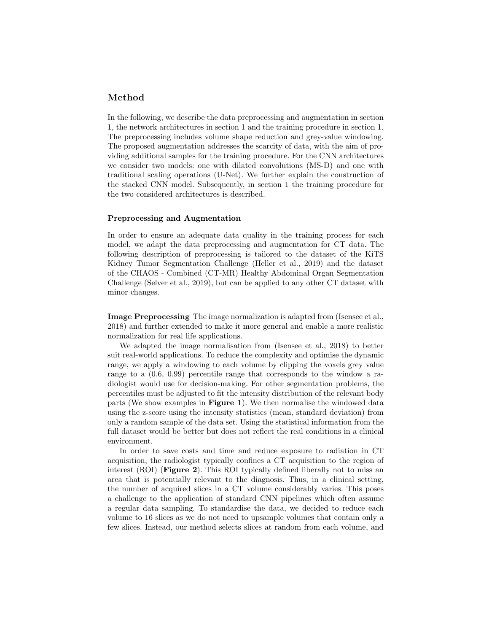## Method

In the following, we describe the data preprocessing and augmentation in section 1, the network architectures in section 1 and the training procedure in section 1. The preprocessing includes volume shape reduction and grey-value windowing. The proposed augmentation addresses the scarcity of data, with the aim of providing additional samples for the training procedure. For the CNN architectures we consider two models: one with dilated convolutions (MS-D) and one with traditional scaling operations (U-Net). We further explain the construction of the stacked CNN model. Subsequently, in section 1 the training procedure for the two considered architectures is described.

#### Preprocessing and Augmentation

In order to ensure an adequate data quality in the training process for each model, we adapt the data preprocessing and augmentation for CT data. The following description of preprocessing is tailored to the dataset of the KiTS Kidney Tumor Segmentation Challenge (Heller et al., 2019) and the dataset of the CHAOS - Combined (CT-MR) Healthy Abdominal Organ Segmentation Challenge (Selver et al., 2019), but can be applied to any other CT dataset with minor changes.

Image Preprocessing The image normalization is adapted from (Isensee et al., 2018) and further extended to make it more general and enable a more realistic normalization for real life applications.

We adapted the image normalisation from (Isensee et al., 2018) to better suit real-world applications. To reduce the complexity and optimise the dynamic range, we apply a windowing to each volume by clipping the voxels grey value range to a (0.6, 0.99) percentile range that corresponds to the window a radiologist would use for decision-making. For other segmentation problems, the percentiles must be adjusted to fit the intensity distribution of the relevant body parts (We show examples in Figure 1). We then normalise the windowed data using the z-score using the intensity statistics (mean, standard deviation) from only a random sample of the data set. Using the statistical information from the full dataset would be better but does not reflect the real conditions in a clinical environment.

In order to save costs and time and reduce exposure to radiation in CT acquisition, the radiologist typically confines a CT acquisition to the region of interest (ROI) (Figure 2). This ROI typically defined liberally not to miss an area that is potentially relevant to the diagnosis. Thus, in a clinical setting, the number of acquired slices in a CT volume considerably varies. This poses a challenge to the application of standard CNN pipelines which often assume a regular data sampling. To standardise the data, we decided to reduce each volume to 16 slices as we do not need to upsample volumes that contain only a few slices. Instead, our method selects slices at random from each volume, and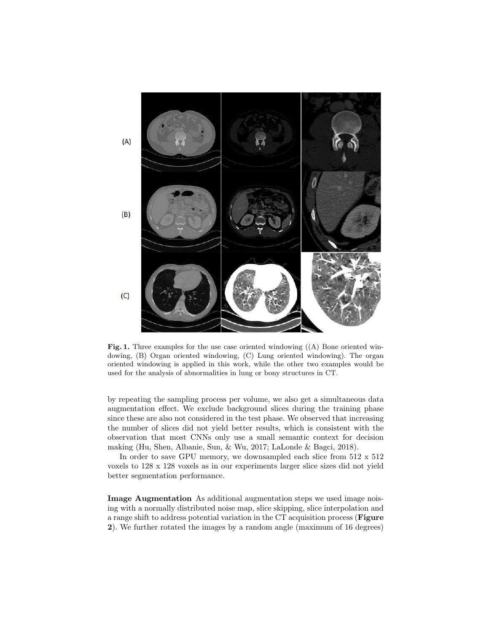

Fig. 1. Three examples for the use case oriented windowing ((A) Bone oriented windowing, (B) Organ oriented windowing, (C) Lung oriented windowing). The organ oriented windowing is applied in this work, while the other two examples would be used for the analysis of abnormalities in lung or bony structures in CT.

by repeating the sampling process per volume, we also get a simultaneous data augmentation effect. We exclude background slices during the training phase since these are also not considered in the test phase. We observed that increasing the number of slices did not yield better results, which is consistent with the observation that most CNNs only use a small semantic context for decision making (Hu, Shen, Albanie, Sun, & Wu, 2017; LaLonde & Bagci, 2018).

In order to save GPU memory, we downsampled each slice from 512 x 512 voxels to 128 x 128 voxels as in our experiments larger slice sizes did not yield better segmentation performance.

Image Augmentation As additional augmentation steps we used image noising with a normally distributed noise map, slice skipping, slice interpolation and a range shift to address potential variation in the CT acquisition process (Figure 2). We further rotated the images by a random angle (maximum of 16 degrees)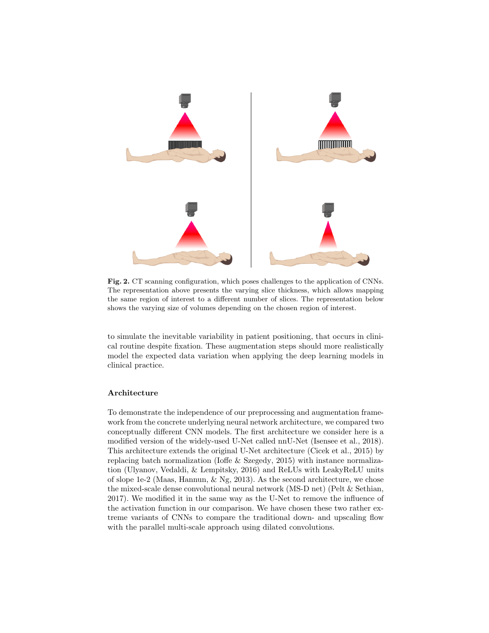

Fig. 2. CT scanning configuration, which poses challenges to the application of CNNs. The representation above presents the varying slice thickness, which allows mapping the same region of interest to a different number of slices. The representation below shows the varying size of volumes depending on the chosen region of interest.

to simulate the inevitable variability in patient positioning, that occurs in clinical routine despite fixation. These augmentation steps should more realistically model the expected data variation when applying the deep learning models in clinical practice.

### Architecture

To demonstrate the independence of our preprocessing and augmentation framework from the concrete underlying neural network architecture, we compared two conceptually different CNN models. The first architecture we consider here is a modified version of the widely-used U-Net called nnU-Net (Isensee et al., 2018). This architecture extends the original U-Net architecture (Cicek et al., 2015) by replacing batch normalization (Ioffe & Szegedy, 2015) with instance normalization (Ulyanov, Vedaldi, & Lempitsky, 2016) and ReLUs with LeakyReLU units of slope 1e-2 (Maas, Hannun, & Ng, 2013). As the second architecture, we chose the mixed-scale dense convolutional neural network (MS-D net) (Pelt & Sethian, 2017). We modified it in the same way as the U-Net to remove the influence of the activation function in our comparison. We have chosen these two rather extreme variants of CNNs to compare the traditional down- and upscaling flow with the parallel multi-scale approach using dilated convolutions.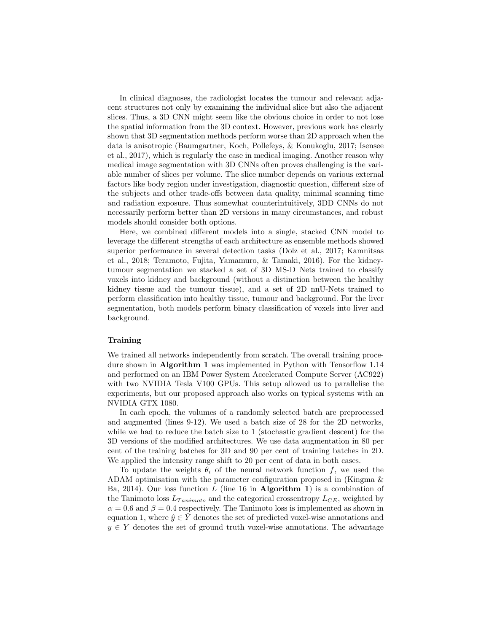In clinical diagnoses, the radiologist locates the tumour and relevant adjacent structures not only by examining the individual slice but also the adjacent slices. Thus, a 3D CNN might seem like the obvious choice in order to not lose the spatial information from the 3D context. However, previous work has clearly shown that 3D segmentation methods perform worse than 2D approach when the data is anisotropic (Baumgartner, Koch, Pollefeys, & Konukoglu, 2017; Isensee et al., 2017), which is regularly the case in medical imaging. Another reason why medical image segmentation with 3D CNNs often proves challenging is the variable number of slices per volume. The slice number depends on various external factors like body region under investigation, diagnostic question, different size of the subjects and other trade-offs between data quality, minimal scanning time and radiation exposure. Thus somewhat counterintuitively, 3DD CNNs do not necessarily perform better than 2D versions in many circumstances, and robust models should consider both options.

Here, we combined different models into a single, stacked CNN model to leverage the different strengths of each architecture as ensemble methods showed superior performance in several detection tasks (Dolz et al., 2017; Kamnitsas et al., 2018; Teramoto, Fujita, Yamamuro, & Tamaki, 2016). For the kidneytumour segmentation we stacked a set of 3D MS-D Nets trained to classify voxels into kidney and background (without a distinction between the healthy kidney tissue and the tumour tissue), and a set of 2D nnU-Nets trained to perform classification into healthy tissue, tumour and background. For the liver segmentation, both models perform binary classification of voxels into liver and background.

#### Training

We trained all networks independently from scratch. The overall training procedure shown in Algorithm 1 was implemented in Python with Tensorflow 1.14 and performed on an IBM Power System Accelerated Compute Server (AC922) with two NVIDIA Tesla V100 GPUs. This setup allowed us to parallelise the experiments, but our proposed approach also works on typical systems with an NVIDIA GTX 1080.

In each epoch, the volumes of a randomly selected batch are preprocessed and augmented (lines 9-12). We used a batch size of 28 for the 2D networks, while we had to reduce the batch size to 1 (stochastic gradient descent) for the 3D versions of the modified architectures. We use data augmentation in 80 per cent of the training batches for 3D and 90 per cent of training batches in 2D. We applied the intensity range shift to 20 per cent of data in both cases.

To update the weights  $\theta_i$  of the neural network function f, we used the ADAM optimisation with the parameter configuration proposed in (Kingma & Ba, 2014). Our loss function  $L$  (line 16 in **Algorithm 1**) is a combination of the Tanimoto loss  $L_{Tanimoto}$  and the categorical crossentropy  $L_{CE}$ , weighted by  $\alpha = 0.6$  and  $\beta = 0.4$  respectively. The Tanimoto loss is implemented as shown in equation 1, where  $\hat{y} \in \hat{Y}$  denotes the set of predicted voxel-wise annotations and  $y \in Y$  denotes the set of ground truth voxel-wise annotations. The advantage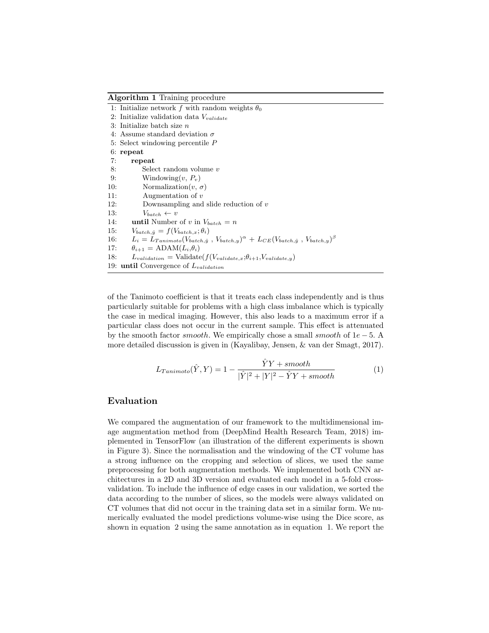Algorithm 1 Training procedure

1: Initialize network f with random weights  $\theta_0$ 2: Initialize validation data  $V_{validate}$ 3: Initialize batch size  $n$ 4: Assume standard deviation  $\sigma$ 5: Select windowing percentile P 6: repeat 7: repeat 8: Select random volume v 9: Windowing $(v, P_v)$ 10: Normalization $(v, \sigma)$ 11: Augmentation of v 12: Downsampling and slide reduction of v 13:  $V_{batch} \leftarrow v$ 14: **until** Number of v in  $V_{batch} = n$ 15:  $V_{batch, \hat{y}} = f(V_{batch, x}; \theta_i)$ 16:  $L_i = L_{Tanimoto}(V_{batch, \hat{y}}, V_{batch, y})^{\alpha} + L_{CE}(V_{batch, \hat{y}}, V_{batch, y})^{\beta}$ 17:  $\theta_{i+1} = \text{ADAM}(L_i, \theta_i)$ 18:  $L_{validation} = \text{Validate}(f(V_{validation}, \theta_{i+1}, V_{validate,y}))$ 19: until Convergence of  $L_{validation}$ 

of the Tanimoto coefficient is that it treats each class independently and is thus particularly suitable for problems with a high class imbalance which is typically the case in medical imaging. However, this also leads to a maximum error if a particular class does not occur in the current sample. This effect is attenuated by the smooth factor *smooth*. We empirically chose a small *smooth* of  $1e-5$ . A more detailed discussion is given in (Kayalibay, Jensen, & van der Smagt, 2017).

$$
L_{Tanimoto}(\hat{Y}, Y) = 1 - \frac{\hat{Y}Y + smooth}{|\hat{Y}|^2 + |Y|^2 - \hat{Y}Y + smooth}
$$
\n(1)

## Evaluation

We compared the augmentation of our framework to the multidimensional image augmentation method from (DeepMind Health Research Team, 2018) implemented in TensorFlow (an illustration of the different experiments is shown in Figure 3). Since the normalisation and the windowing of the CT volume has a strong influence on the cropping and selection of slices, we used the same preprocessing for both augmentation methods. We implemented both CNN architectures in a 2D and 3D version and evaluated each model in a 5-fold crossvalidation. To include the influence of edge cases in our validation, we sorted the data according to the number of slices, so the models were always validated on CT volumes that did not occur in the training data set in a similar form. We numerically evaluated the model predictions volume-wise using the Dice score, as shown in equation 2 using the same annotation as in equation 1. We report the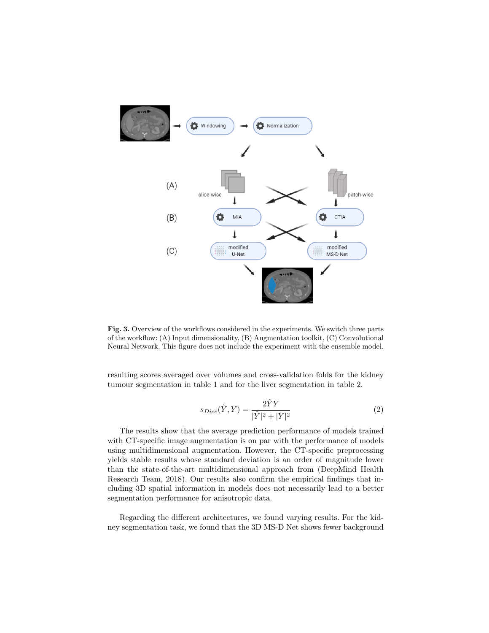

Fig. 3. Overview of the workflows considered in the experiments. We switch three parts of the workflow: (A) Input dimensionality, (B) Augmentation toolkit, (C) Convolutional Neural Network. This figure does not include the experiment with the ensemble model.

resulting scores averaged over volumes and cross-validation folds for the kidney tumour segmentation in table 1 and for the liver segmentation in table 2.

$$
s_{Dice}(\hat{Y}, Y) = \frac{2\hat{Y}Y}{|\hat{Y}|^2 + |Y|^2}
$$
\n(2)

The results show that the average prediction performance of models trained with CT-specific image augmentation is on par with the performance of models using multidimensional augmentation. However, the CT-specific preprocessing yields stable results whose standard deviation is an order of magnitude lower than the state-of-the-art multidimensional approach from (DeepMind Health Research Team, 2018). Our results also confirm the empirical findings that including 3D spatial information in models does not necessarily lead to a better segmentation performance for anisotropic data.

Regarding the different architectures, we found varying results. For the kidney segmentation task, we found that the 3D MS-D Net shows fewer background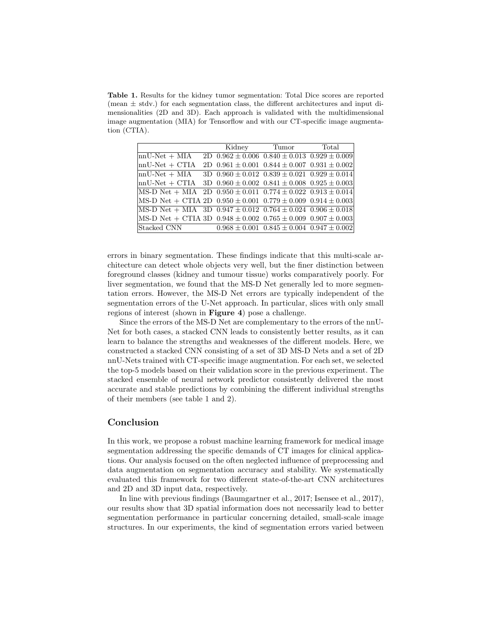Table 1. Results for the kidney tumor segmentation: Total Dice scores are reported (mean  $\pm$  stdv.) for each segmentation class, the different architectures and input dimensionalities (2D and 3D). Each approach is validated with the multidimensional image augmentation (MIA) for Tensorflow and with our CT-specific image augmentation (CTIA).

|                                                                                          | Kidney                                                   | Tumor                                                 | Total |
|------------------------------------------------------------------------------------------|----------------------------------------------------------|-------------------------------------------------------|-------|
| $nnU-Net + MIA$                                                                          | 2D $0.962 \pm 0.006$ $0.840 \pm 0.013$ $0.929 \pm 0.009$ |                                                       |       |
| $\text{lnnU-Net} + \text{CTIA}$                                                          | 2D $0.961 \pm 0.001$ $0.844 \pm 0.007$ $0.931 \pm 0.002$ |                                                       |       |
| $nnU-Net + MIA$                                                                          | 3D $0.960 \pm 0.012$ $0.839 \pm 0.021$ $0.929 \pm 0.014$ |                                                       |       |
| $\text{lnnU-Net} + \text{CTIA}$ 3D $0.960 \pm 0.002$ $0.841 \pm 0.008$ $0.925 \pm 0.003$ |                                                          |                                                       |       |
| $MS-D Net + MIA$ 2D $0.950 \pm 0.011$ $0.774 \pm 0.022$ $0.913 \pm 0.014$                |                                                          |                                                       |       |
| $MS-D Net + CTIA 2D 0.950 \pm 0.001 0.779 \pm 0.009 0.914 \pm 0.003$                     |                                                          |                                                       |       |
| $MS-D Net + MIA$ 3D $0.947 \pm 0.012$ $0.764 \pm 0.024$ $0.906 \pm 0.018$                |                                                          |                                                       |       |
| $\vert$ MS-D Net + CTIA 3D 0.948 $\pm$ 0.002 0.765 $\pm$ 0.009 0.907 $\pm$ 0.003         |                                                          |                                                       |       |
| Stacked CNN                                                                              |                                                          | $0.968 \pm 0.001$ $0.845 \pm 0.004$ $0.947 \pm 0.002$ |       |

errors in binary segmentation. These findings indicate that this multi-scale architecture can detect whole objects very well, but the finer distinction between foreground classes (kidney and tumour tissue) works comparatively poorly. For liver segmentation, we found that the MS-D Net generally led to more segmentation errors. However, the MS-D Net errors are typically independent of the segmentation errors of the U-Net approach. In particular, slices with only small regions of interest (shown in Figure 4) pose a challenge.

Since the errors of the MS-D Net are complementary to the errors of the nnU-Net for both cases, a stacked CNN leads to consistently better results, as it can learn to balance the strengths and weaknesses of the different models. Here, we constructed a stacked CNN consisting of a set of 3D MS-D Nets and a set of 2D nnU-Nets trained with CT-specific image augmentation. For each set, we selected the top-5 models based on their validation score in the previous experiment. The stacked ensemble of neural network predictor consistently delivered the most accurate and stable predictions by combining the different individual strengths of their members (see table 1 and 2).

## Conclusion

In this work, we propose a robust machine learning framework for medical image segmentation addressing the specific demands of CT images for clinical applications. Our analysis focused on the often neglected influence of preprocessing and data augmentation on segmentation accuracy and stability. We systematically evaluated this framework for two different state-of-the-art CNN architectures and 2D and 3D input data, respectively.

In line with previous findings (Baumgartner et al., 2017; Isensee et al., 2017), our results show that 3D spatial information does not necessarily lead to better segmentation performance in particular concerning detailed, small-scale image structures. In our experiments, the kind of segmentation errors varied between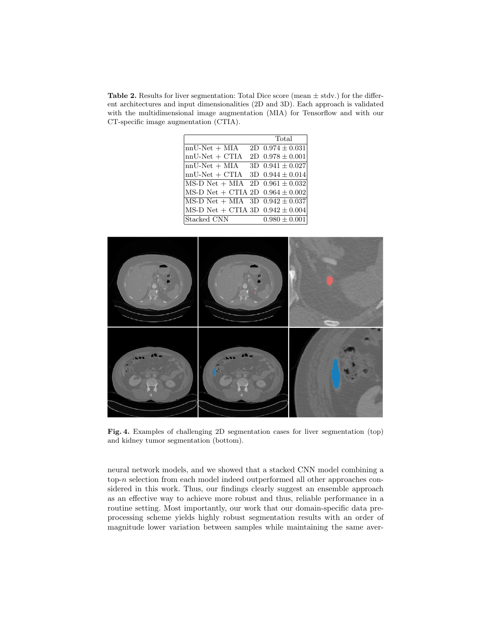**Table 2.** Results for liver segmentation: Total Dice score (mean  $\pm$  stdv.) for the different architectures and input dimensionalities (2D and 3D). Each approach is validated with the multidimensional image augmentation (MIA) for Tensorflow and with our CT-specific image augmentation (CTIA).

|                                       | Total                      |
|---------------------------------------|----------------------------|
| $nnU-Net + MIA$                       | $2D \t0.974 \pm 0.031$     |
| $nnU-Net + CTIA$                      | $2D \t0.978 \pm 0.001$     |
| $\text{nnU-Net} + \text{MIA}$         | $3D \quad 0.941 \pm 0.027$ |
| $nnU-Net + CTIA$ 3D $0.944 \pm 0.014$ |                            |
| MS-D Net + MIA 2D $0.961 \pm 0.032$   |                            |
| MS-D Net + CTIA 2D $0.964 \pm 0.002$  |                            |
| MS-D Net + MIA 3D $0.942 \pm 0.037$   |                            |
| MS-D Net + CTIA 3D $0.942 \pm 0.004$  |                            |
| Stacked CNN                           | $0.980 \pm 0.001$          |



Fig. 4. Examples of challenging 2D segmentation cases for liver segmentation (top) and kidney tumor segmentation (bottom).

neural network models, and we showed that a stacked CNN model combining a top-n selection from each model indeed outperformed all other approaches considered in this work. Thus, our findings clearly suggest an ensemble approach as an effective way to achieve more robust and thus, reliable performance in a routine setting. Most importantly, our work that our domain-specific data preprocessing scheme yields highly robust segmentation results with an order of magnitude lower variation between samples while maintaining the same aver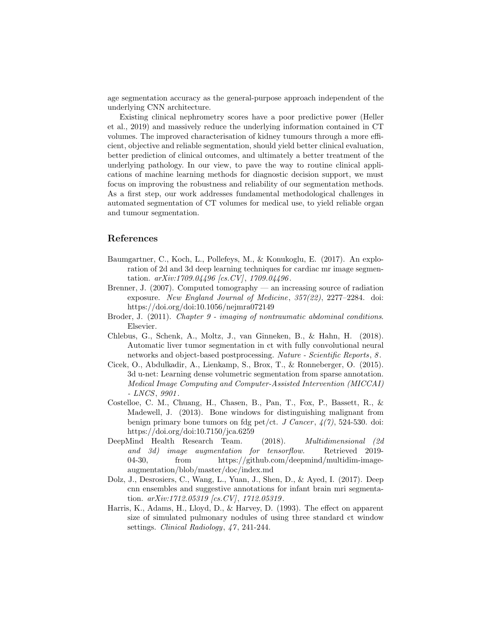age segmentation accuracy as the general-purpose approach independent of the underlying CNN architecture.

Existing clinical nephrometry scores have a poor predictive power (Heller et al., 2019) and massively reduce the underlying information contained in CT volumes. The improved characterisation of kidney tumours through a more efficient, objective and reliable segmentation, should yield better clinical evaluation, better prediction of clinical outcomes, and ultimately a better treatment of the underlying pathology. In our view, to pave the way to routine clinical applications of machine learning methods for diagnostic decision support, we must focus on improving the robustness and reliability of our segmentation methods. As a first step, our work addresses fundamental methodological challenges in automated segmentation of CT volumes for medical use, to yield reliable organ and tumour segmentation.

## References

- Baumgartner, C., Koch, L., Pollefeys, M., & Konukoglu, E. (2017). An exploration of 2d and 3d deep learning techniques for cardiac mr image segmentation.  $arXiv:1709.04496$  [cs.CV], 1709.04496.
- Brenner, J. (2007). Computed tomography an increasing source of radiation exposure. New England Journal of Medicine, 357(22), 2277–2284. doi: https://doi.org/doi:10.1056/nejmra072149
- Broder, J. (2011). Chapter 9 imaging of nontraumatic abdominal conditions. Elsevier.
- Chlebus, G., Schenk, A., Moltz, J., van Ginneken, B., & Hahn, H. (2018). Automatic liver tumor segmentation in ct with fully convolutional neural networks and object-based postprocessing. Nature - Scientific Reports, 8 .
- Cicek, O., Abdulkadir, A., Lienkamp, S., Brox, T., & Ronneberger, O. (2015). 3d u-net: Learning dense volumetric segmentation from sparse annotation. Medical Image Computing and Computer-Assisted Intervention (MICCAI) - LNCS, 9901 .
- Costelloe, C. M., Chuang, H., Chasen, B., Pan, T., Fox, P., Bassett, R., & Madewell, J. (2013). Bone windows for distinguishing malignant from benign primary bone tumors on fdg pet/ct. J Cancer,  $\frac{1}{7}$ , 524-530. doi: https://doi.org/doi:10.7150/jca.6259
- DeepMind Health Research Team. (2018). Multidimensional (2d and 3d) image augmentation for tensorflow. Retrieved 2019- 04-30, from https://github.com/deepmind/multidim-imageaugmentation/blob/master/doc/index.md
- Dolz, J., Desrosiers, C., Wang, L., Yuan, J., Shen, D., & Ayed, I. (2017). Deep cnn ensembles and suggestive annotations for infant brain mri segmentation.  $arXiv:1712.05319$   $[cs.CV], 1712.05319$ .
- Harris, K., Adams, H., Lloyd, D., & Harvey, D. (1993). The effect on apparent size of simulated pulmonary nodules of using three standard ct window settings. Clinical Radiology, 47, 241-244.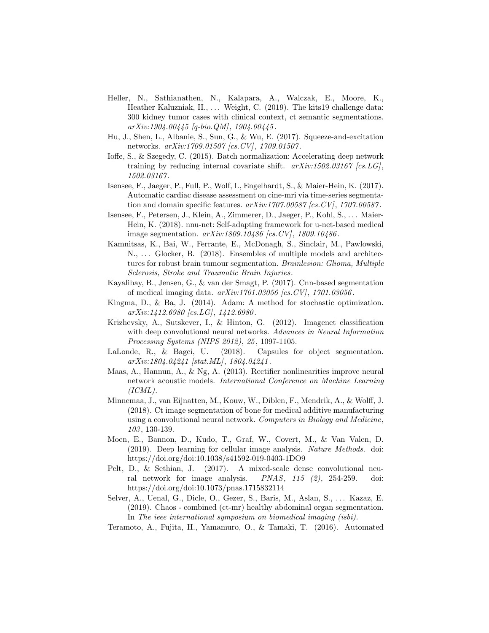- Heller, N., Sathianathen, N., Kalapara, A., Walczak, E., Moore, K., Heather Kaluzniak, H., ... Weight, C. (2019). The kits19 challenge data: 300 kidney tumor cases with clinical context, ct semantic segmentations.  $arXiv: 1904.00445$  [q-bio. QM], 1904.00445.
- Hu, J., Shen, L., Albanie, S., Sun, G., & Wu, E. (2017). Squeeze-and-excitation networks.  $arXiv:1709.01507$  [cs.CV], 1709.01507.
- Ioffe, S., & Szegedy, C. (2015). Batch normalization: Accelerating deep network training by reducing internal covariate shift.  $arXiv:1502.03167$  [cs. LG], 1502.03167 .
- Isensee, F., Jaeger, P., Full, P., Wolf, I., Engelhardt, S., & Maier-Hein, K. (2017). Automatic cardiac disease assessment on cine-mri via time-series segmentation and domain specific features.  $arXiv:1707.00587$  [cs. CV], 1707.00587.
- Isensee, F., Petersen, J., Klein, A., Zimmerer, D., Jaeger, P., Kohl, S., . . . Maier-Hein, K. (2018). nnu-net: Self-adapting framework for u-net-based medical image segmentation.  $arXiv:1809.10486$  [cs. CV], 1809.10486.
- Kamnitsas, K., Bai, W., Ferrante, E., McDonagh, S., Sinclair, M., Pawlowski, N., ... Glocker, B. (2018). Ensembles of multiple models and architectures for robust brain tumour segmentation. Brainlesion: Glioma, Multiple Sclerosis, Stroke and Traumatic Brain Injuries.
- Kayalibay, B., Jensen, G., & van der Smagt, P. (2017). Cnn-based segmentation of medical imaging data. arXiv:1701.03056 [cs.CV], 1701.03056 .
- Kingma, D., & Ba, J. (2014). Adam: A method for stochastic optimization. arXiv:1412.6980 [cs.LG], 1412.6980 .
- Krizhevsky, A., Sutskever, I., & Hinton, G. (2012). Imagenet classification with deep convolutional neural networks. Advances in Neural Information Processing Systems (NIPS 2012), 25 , 1097-1105.
- LaLonde, R., & Bagci, U. (2018). Capsules for object segmentation.  $arXiv:1804.04241$  [stat.ML],  $1804.04241$ .
- Maas, A., Hannun, A., & Ng, A. (2013). Rectifier nonlinearities improve neural network acoustic models. International Conference on Machine Learning  $(ICML).$
- Minnemaa, J., van Eijnatten, M., Kouw, W., Diblen, F., Mendrik, A., & Wolff, J. (2018). Ct image segmentation of bone for medical additive manufacturing using a convolutional neural network. Computers in Biology and Medicine, 103 , 130-139.
- Moen, E., Bannon, D., Kudo, T., Graf, W., Covert, M., & Van Valen, D. (2019). Deep learning for cellular image analysis. Nature Methods. doi: https://doi.org/doi:10.1038/s41592-019-0403-1DO9
- Pelt, D., & Sethian, J. (2017). A mixed-scale dense convolutional neural network for image analysis. *PNAS*, 115 (2), 254-259. doi: https://doi.org/doi:10.1073/pnas.1715832114
- Selver, A., Uenal, G., Dicle, O., Gezer, S., Baris, M., Aslan, S., . . . Kazaz, E. (2019). Chaos - combined (ct-mr) healthy abdominal organ segmentation. In The ieee international symposium on biomedical imaging *(isbi)*.
- Teramoto, A., Fujita, H., Yamamuro, O., & Tamaki, T. (2016). Automated